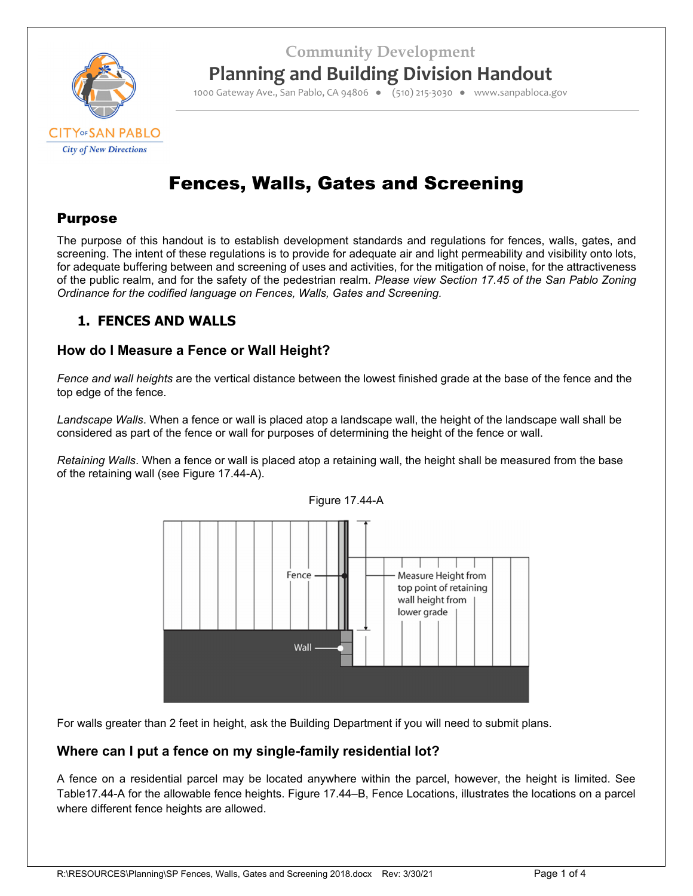**Community Development**



**Planning and Building Division Handout**

1000 Gateway Ave., San Pablo, CA 94806 ● (510) 215‐3030 ● www.sanpabloca.gov

# Fences, Walls, Gates and Screening

### Purpose

The purpose of this handout is to establish development standards and regulations for fences, walls, gates, and screening. The intent of these regulations is to provide for adequate air and light permeability and visibility onto lots, for adequate buffering between and screening of uses and activities, for the mitigation of noise, for the attractiveness of the public realm, and for the safety of the pedestrian realm. *Please view Section 17.45 of the San Pablo Zoning Ordinance for the codified language on Fences, Walls, Gates and Screening.* 

# **1. FENCES AND WALLS**

### **How do I Measure a Fence or Wall Height?**

*Fence and wall heights* are the vertical distance between the lowest finished grade at the base of the fence and the top edge of the fence.

*Landscape Walls*. When a fence or wall is placed atop a landscape wall, the height of the landscape wall shall be considered as part of the fence or wall for purposes of determining the height of the fence or wall.

*Retaining Walls*. When a fence or wall is placed atop a retaining wall, the height shall be measured from the base of the retaining wall (see Figure 17.44-A).





For walls greater than 2 feet in height, ask the Building Department if you will need to submit plans.

### **Where can I put a fence on my single-family residential lot?**

A fence on a residential parcel may be located anywhere within the parcel, however, the height is limited. See Table17.44-A for the allowable fence heights. Figure 17.44–B, Fence Locations, illustrates the locations on a parcel where different fence heights are allowed.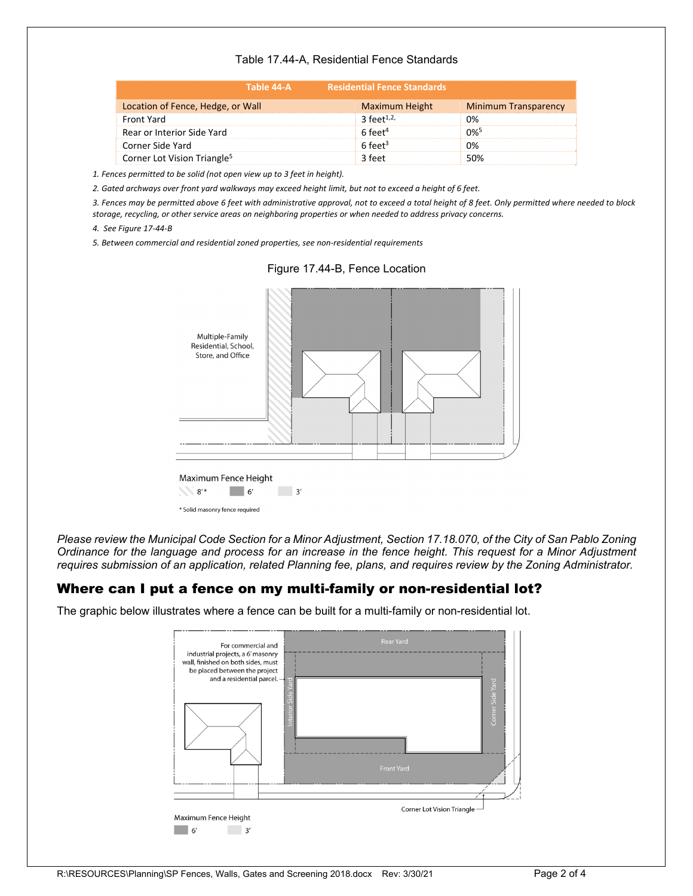#### Table 17.44-A, Residential Fence Standards

| Table 44-A                              | <b>Residential Fence Standards</b> |                             |  |
|-----------------------------------------|------------------------------------|-----------------------------|--|
| Location of Fence, Hedge, or Wall       | Maximum Height                     | <b>Minimum Transparency</b> |  |
| Front Yard                              | 3 feet <sup>1,2,</sup>             | 0%                          |  |
| Rear or Interior Side Yard              | $6$ feet <sup>4</sup>              | $0\%$ <sup>5</sup>          |  |
| Corner Side Yard                        | $6$ feet <sup>3</sup>              | 0%                          |  |
| Corner Lot Vision Triangle <sup>5</sup> | 3 feet                             | 50%                         |  |

*1. Fences permitted to be solid (not open view up to 3 feet in height).*

2. Gated archways over front yard walkways may exceed height limit, but not to exceed a height of 6 feet.

3. Fences may be permitted above 6 feet with administrative approval, not to exceed a total height of 8 feet. Only permitted where needed to block *storage, recycling, or other service areas on neighboring properties or when needed to address privacy concerns.*

*4. See Figure 17‐44‐B*

*5. Between commercial and residential zoned properties, see non‐residential requirements*



Figure 17.44-B, Fence Location

*Please review the Municipal Code Section for a Minor Adjustment, Section 17.18.070, of the City of San Pablo Zoning Ordinance for the language and process for an increase in the fence height. This request for a Minor Adjustment requires submission of an application, related Planning fee, plans, and requires review by the Zoning Administrator.* 

#### Where can I put a fence on my multi-family or non-residential lot?

The graphic below illustrates where a fence can be built for a multi-family or non-residential lot.

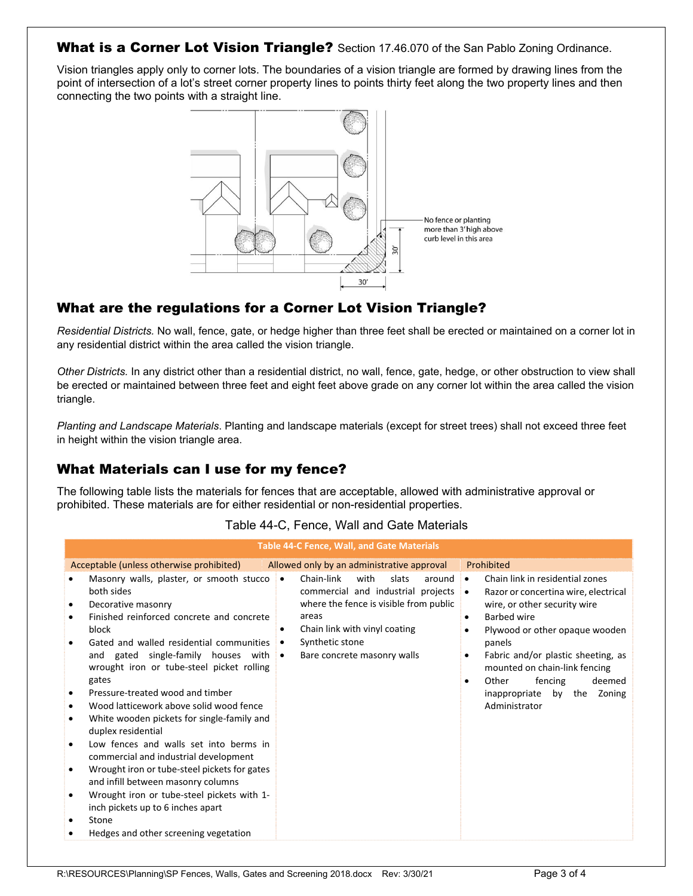#### What is a Corner Lot Vision Triangle? Section 17.46.070 of the San Pablo Zoning Ordinance.

Vision triangles apply only to corner lots. The boundaries of a vision triangle are formed by drawing lines from the point of intersection of a lot's street corner property lines to points thirty feet along the two property lines and then connecting the two points with a straight line.



# What are the regulations for a Corner Lot Vision Triangle?

*Residential Districts.* No wall, fence, gate, or hedge higher than three feet shall be erected or maintained on a corner lot in any residential district within the area called the vision triangle.

*Other Districts.* In any district other than a residential district, no wall, fence, gate, hedge, or other obstruction to view shall be erected or maintained between three feet and eight feet above grade on any corner lot within the area called the vision triangle.

*Planting and Landscape Materials*. Planting and landscape materials (except for street trees) shall not exceed three feet in height within the vision triangle area.

### What Materials can I use for my fence?

The following table lists the materials for fences that are acceptable, allowed with administrative approval or prohibited. These materials are for either residential or non-residential properties.

| Table 44-C, Fence, Wall and Gate Materials |  |  |  |
|--------------------------------------------|--|--|--|
|--------------------------------------------|--|--|--|